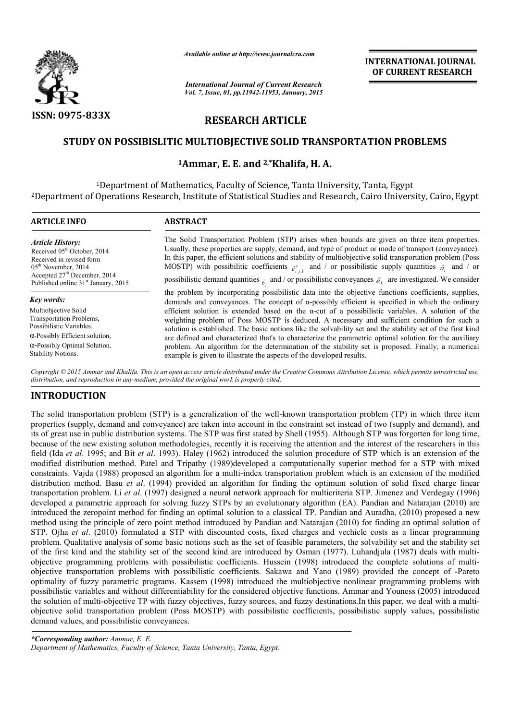

*Available online at http://www.journal http://www.journalcra.com*

*International Journal of Current Research Vol. 7, Issue, 01, pp.11942-11953, January, 2015* **INTERNATIONAL JOURNAL OF CURRENT RESEARCH** 

# **RESEARCH ARTICLE**

### **STUDY ON POSSIBISLITIC MULTIOBJECTIVE SOLID TRANSPORTATION PROBLEMS PROBLEMS**

## **1Ammar Ammar, E. E. and 2,\*Khalifa, H. A.**

1Department of Mathematics, Faculty of Science, Tanta University, Tanta, Egypt <sup>1</sup>Department of Mathematics, Faculty of Science, Tanta University, Tanta, Egypt<br>Department of Operations Research, Institute of Statistical Studies and Research, Cairo University, Cairo, Egypt

| <b>ARTICLE INFO</b>                                                                                                                                                 | <b>ABSTRACT</b>                                                                                                                                                                                                                                                                                                                                                                                                                                                                                                                                                                                                 |
|---------------------------------------------------------------------------------------------------------------------------------------------------------------------|-----------------------------------------------------------------------------------------------------------------------------------------------------------------------------------------------------------------------------------------------------------------------------------------------------------------------------------------------------------------------------------------------------------------------------------------------------------------------------------------------------------------------------------------------------------------------------------------------------------------|
| <b>Article History:</b><br>Received 05 <sup>th</sup> October, 2014<br>Received in revised form<br>$05th$ November, 2014<br>Accepted 27 <sup>th</sup> December, 2014 | The Solid Transportation Problem (STP) arises when bounds are given on three item properties.<br>Usually, these properties are supply, demand, and type of product or mode of transport (conveyance).<br>In this paper, the efficient solutions and stability of multiobjective solid transportation problem (Poss<br>MOSTP) with possibilitic coefficients $\tilde{c}_{i+k}^r$ and / or possibilistic supply quantities $\tilde{a}_i$ and / or<br>possibilistic demand quantities $\delta_{\tilde{t}}$ and / or possibilistic conveyances $\tilde{e}_k$ are investigated. We consider                          |
| Published online 31 <sup>st</sup> January, 2015                                                                                                                     |                                                                                                                                                                                                                                                                                                                                                                                                                                                                                                                                                                                                                 |
| Key words:                                                                                                                                                          | the problem by incorporating possibilistic data into the objective functions coefficients, supplies,<br>demands and conveyances. The concept of $\alpha$ -possibly efficient is specified in which the ordinary                                                                                                                                                                                                                                                                                                                                                                                                 |
| Multiobjective Solid<br>Transportation Problems,<br>Possibilistic Variables,                                                                                        | efficient solution is extended based on the $\alpha$ -cut of a possibilistic variables. A solution of the<br>weighting problem of Poss MOSTP is deduced. A necessary and sufficient condition for such a<br>solution is established. The basic notions like the solvability set and the stability set of the first kind<br>are defined and characterized that's to characterize the parametric optimal solution for the auxiliary<br>problem. An algorithm for the determination of the stability set is proposed. Finally, a numerical<br>example is given to illustrate the aspects of the developed results. |
| $\alpha$ -Possibly Efficient solution,                                                                                                                              |                                                                                                                                                                                                                                                                                                                                                                                                                                                                                                                                                                                                                 |
| $\alpha$ -Possibly Optimal Solution,<br><b>Stability Notions.</b>                                                                                                   |                                                                                                                                                                                                                                                                                                                                                                                                                                                                                                                                                                                                                 |

Copyright © 2015 Ammar and Khalifa. This is an open access article distributed under the Creative Commons Attribution License, which permits unrestricted use, *distribution, and reproduction in any medium, provided the original work is properly cited.*

## **INTRODUCTION**

The solid transportation problem (STP) is a generalization of the well-known transportation problem (TP) in which three item properties (supply, demand and conveyance) are taken into account in the constraint set instead of two (supply and demand), and properties (supply, demand and conveyance) are taken into account in the constraint set instead of two (supply and demand), and<br>its of great use in public distribution systems. The STP was first stated by Shell (1955). Alt because of the new existing solution methodologies, recently it is receiving the attention and the interest of the researchers in this field (Ida *et al*. 1995; and Bit *et al*. 1993). Haley (1962) introduced the solution procedure of STP which is an extension of the modified distribution method. Patel and Tripathy (1989)developed a computationally superior method for a STP with mixe constraints. Vajda (1988) proposed an algorithm for a multi-index transportation problem which is an extension of the modified distribution method. Basu *et al*. (1994) provided an algorithm for finding the optimum solution of solid fixed charge linear transportation problem. Li *et al*. (1997) designed a neural network approach for multicriteria STP. Jimenez and Verdegay (1996) developed a parametric approach for solving fuzzy STPs by an evolutionary algorithm (EA). Pandian and Natarajan (2010) are introduced the zeropoint method for finding an optimal solution to a classical TP. Pandian and Auradha, (2010) proposed a new method using the principle of zero point method introduced by Pandian and Natarajan (2010) for finding an optimal solution of STP. Ojha *et al*. (2010) formulated a STP with discounted costs, fixed charges and vechicle costs as a linear programming problem. Qualitative analysis of some basic notions such as the set of feasible parameters, the solvability set and the stabi of the first kind and the stability set of the second kind are introduced by Osman (1977). Luhandjula (1987) deals with multiobjective programming problems with possibilistic coefficients. Hussein (1998) introduced the complete solutions of multiintroduced the zeropoint method for finding an optimal solution to a classical TP. Pandian and Auradha, (2010) proposed a new<br>method using the principle of zero point method introduced by Pandian and Natarajan (2010) for f optimality of fuzzy parametric programs. Kassem (1998) introduced the multiobjective nonlinear programming problems with possibilistic variables and without differentiability for the considered objective functions. Ammar and Youness (2005) introduced the solution of multi-objective TP with fuzzy objectives, fuzzy sources, and fuzzy destinations. In this paper, we deal with a multi objective solid transportation problem (Poss MOSTP) with possibilistic coefficients, possibilistic supply values, possibilistic n demand values, and possibilistic conveyances. s of great use in public distribution systems. The STP was first stated by Shell (1955). Although STP was forgotten for long time, ecause of the new existing solution methodologies, recently it is receiving the attention a field (Ida et al. 1995; and Bit et al. 1993). Haley (1962) introduced the solution procedure of STP which is an extension of the modified distribution method. Patel and Tripathy (1989)developed a computationally superior m index transportation problem which is an extension of the modified id. (1994) provided an algorithm for finding the optimum solution of solid fixed charge linear . (1997) designed a neural network approach for multicriteri method using the principle of zero point method introduced by Pandian and Natarajan (2010) for finding an optimal solution of STP. Ojha *et al.* (2010) formulated a STP with discounted costs, fixed charges and vechicle cos ograms. Kassem (1998) introduced the multiobjective nonlinear programming problems with differentiability for the considered objective functions. Ammar and Youness (2005) introduced with fuzzy objectives, fuzzy sources, an **INTERATE IDENTIFY (INTERNATIONAL JOURNAL JOURNAL COMPARTIONAL SURFACTIONAL CONTRACT (INTERNATIONAL CONTRACT) (INTERNATIONAL CONTRACT) (INTERNATIONAL CONTRACT) (INTERNATIONAL CONTRACT) (INTERNATIONAL CONTRACT) (INTERNATIO** 

*\*Corresponding author: Ammar, E. E.* Department of Mathematics, Faculty of Science, Tanta University, Tanta, Egypt.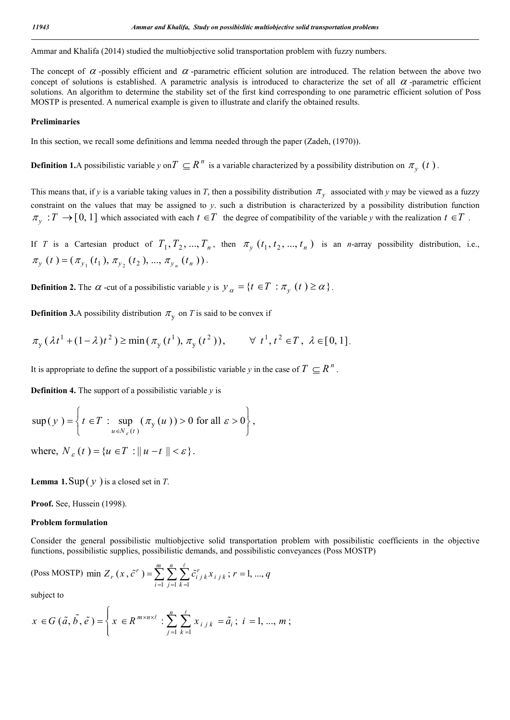Ammar and Khalifa (2014) studied the multiobjective solid transportation problem with fuzzy numbers.

The concept of  $\alpha$ -possibly efficient and  $\alpha$ -parametric efficient solution are introduced. The relation between the above two concept of solutions is established. A parametric analysis is introduced to characterize the set of all  $\alpha$ -parametric efficient solutions. An algorithm to determine the stability set of the first kind corresponding to one parametric efficient solution of Poss MOSTP is presented. A numerical example is given to illustrate and clarify the obtained results.

#### **Preliminaries**

In this section, we recall some definitions and lemma needed through the paper (Zadeh, (1970)).

**Definition 1.**A possibilistic variable *y* on  $T \subseteq R^n$  is a variable characterized by a possibility distribution on  $\pi_v(t)$ .

This means that, if *y* is a variable taking values in *T*, then a possibility distribution  $\pi$ <sub>*y*</sub> associated with *y* may be viewed as a fuzzy constraint on the values that may be assigned to *y*. such a distribution is characterized by a possibility distribution function  $\pi_v : T \to [0, 1]$  which associated with each  $t \in T$  the degree of compatibility of the variable *y* with the realization  $t \in T$ .

If *T* is a Cartesian product of  $T_1, T_2, ..., T_n$ , then  $\pi_v(t_1, t_2, ..., t_n)$  is an *n*-array possibility distribution, i.e.,  $\pi_{y}$   $(t) = (\pi_{y_{1}}(t_{1}), \pi_{y_{2}}(t_{2}), ..., \pi_{y_{n}}(t_{n}))$ .

**Definition 2.** The  $\alpha$  -cut of a possibilistic variable *y* is  $y_{\alpha} = \{t \in T : \pi_{\alpha}(t) \ge \alpha\}$ .

**Definition 3.**A possibility distribution  $\pi$ <sub>v</sub> on *T* is said to be convex if

$$
\pi_{\mathbf{y}}(\lambda t^{1} + (1 - \lambda)t^{2}) \ge \min(\pi_{\mathbf{y}}(t^{1}), \pi_{\mathbf{y}}(t^{2})), \qquad \forall \ t^{1}, t^{2} \in T, \ \lambda \in [0, 1].
$$

It is appropriate to define the support of a possibilistic variable *y* in the case of  $T \subseteq R^n$ .

**Definition 4.** The support of a possibilistic variable *y* is

$$
\sup(y) = \left\{ t \in T : \sup_{u \in N_{\varepsilon}(t)} (\pi_{y}(u)) > 0 \text{ for all } \varepsilon > 0 \right\},\
$$

where,  $N_c(t) = \{u \in T : ||u - t|| < \varepsilon\}$ .

**Lemma 1.** Sup( $y$ ) is a closed set in *T*.

**Proof.** See, Hussein (1998).

#### **Problem formulation**

Consider the general possibilistic multiobjective solid transportation problem with possibilistic coefficients in the objective functions, possibilistic supplies, possibilistic demands, and possibilistic conveyances (Poss MOSTP)

(Poss MOSTP) min 
$$
Z_r(x, \tilde{c}^r) = \sum_{i=1}^{m} \sum_{j=1}^{n} \sum_{k=1}^{\ell} \tilde{c}_{ijk}^r x_{ijk}; r = 1, ..., q
$$

subject to

$$
x \in G\left(\tilde{a}, \tilde{b}, \tilde{e}\right) = \left\{ x \in R^{m \times n \times \ell} : \sum_{j=1}^{n} \sum_{k=1}^{\ell} x_{i j k} = \tilde{a}_i ; i = 1, ..., m ; \right\}
$$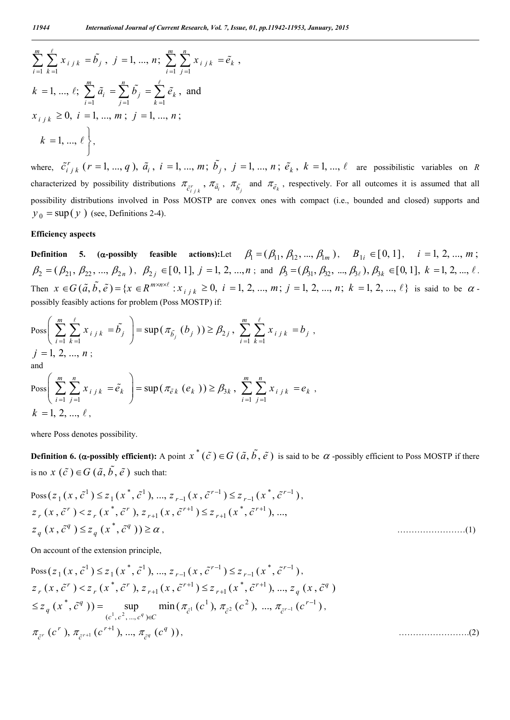$$
\sum_{i=1}^{m} \sum_{k=1}^{\ell} x_{i j k} = \tilde{b}_{j}, j = 1, ..., n; \sum_{i=1}^{m} \sum_{j=1}^{n} x_{i j k} = \tilde{e}_{k},
$$
  
\n
$$
k = 1, ..., \ell; \sum_{i=1}^{m} \tilde{a}_{i} = \sum_{j=1}^{n} \tilde{b}_{j} = \sum_{k=1}^{\ell} \tilde{e}_{k}, \text{ and}
$$
  
\n
$$
x_{i j k} \ge 0, i = 1, ..., m; j = 1, ..., n;
$$
  
\n
$$
k = 1, ..., \ell,
$$

where,  $\tilde{c}_{i j k}^r$  ( $r = 1, ..., q$ ),  $\tilde{a}_i$ ,  $i = 1, ..., m$ ;  $\tilde{b}_j$ ,  $j = 1, ..., n$ ;  $\tilde{e}_k$ ,  $k = 1, ..., \ell$  are possibilistic variables on R characterized by possibility distributions  $\pi_{\tilde{c}_{i+k}}$ ,  $\pi_{\tilde{a}_i}$ ,  $\pi_{\tilde{b}_i}$  and  $\pi_{\tilde{e}_k}$ , respectively. For all outcomes it is assumed that all possibility distributions involved in Poss MOSTP are convex ones with compact (i.e., bounded and closed) supports and  $y_0 = \sup(y)$  (see, Definitions 2-4).

#### **Efficiency aspects**

**Definition** 5. ( $\alpha$ -possibly feasible actions):Let  $\beta_1 = (\beta_{11}, \beta_{12}, ..., \beta_{1m})$ ,  $B_{1i} \in [0, 1]$ ,  $i = 1, 2, ..., m$ ;  $\beta_2 = (\beta_{21}, \beta_{22}, ..., \beta_{2n})$ ,  $\beta_{2j} \in [0, 1]$ ,  $j = 1, 2, ..., n$ ; and  $\beta_3 = (\beta_{31}, \beta_{32}, ..., \beta_{3\ell})$ ,  $\beta_{3k} \in [0, 1]$ ,  $k = 1, 2, ..., \ell$ . Then  $x \in G(\tilde{a}, \tilde{b}, \tilde{e}) = \{x \in R^{m \times n \times \ell} : x_{i,j,k} \ge 0, i = 1, 2, ..., m; j = 1, 2, ..., n; k = 1, 2, ..., \ell\}$  is said to be  $\alpha$ . possibly feasibly actions for problem (Poss MOSTP) if:

$$
\begin{aligned} &\text{Poss}\left(\sum_{i=1}^{m}\sum_{k=1}^{\ell}x_{i j k}=\tilde{b}_{j}\right)=\sup\left(\pi_{\tilde{b}_{j}}\left(b_{j}\right)\right)\geq\beta_{2 j},\sum_{i=1}^{m}\sum_{k=1}^{\ell}x_{i j k}=b_{j},\\ &\text{and}\\ &\text{Poss}\left(\sum_{i=1}^{m}\sum_{j=1}^{n}x_{i j k}=\tilde{e}_{k}\right)=\sup\left(\pi_{\tilde{e}_{k}}\left(e_{k}\right)\right)\geq\beta_{3 k},\sum_{i=1}^{m}\sum_{j=1}^{n}x_{i j k}=e_{k},\\ &\text{$k=1, 2, ..., \ell$,}\end{aligned}
$$

where Poss denotes possibility.

**Definition 6. (** $\alpha$ **-possibly efficient):** A point  $x^*(\tilde{c}) \in G(\tilde{a}, \tilde{b}, \tilde{e})$  is said to be  $\alpha$ -possibly efficient to Poss MOSTP if there is no  $x(\tilde{c}) \in G(\tilde{a}, \tilde{b}, \tilde{e})$  such that:

$$
Poss(z_1(x, \tilde{c}^1) \le z_1(x^*, \tilde{c}^1), ..., z_{r-1}(x, \tilde{c}^{r-1}) \le z_{r-1}(x^*, \tilde{c}^{r-1}),
$$
  
\n
$$
z_r(x, \tilde{c}^r) < z_r(x^*, \tilde{c}^r), z_{r+1}(x, \tilde{c}^{r+1}) \le z_{r+1}(x^*, \tilde{c}^{r+1}), ...,
$$
  
\n
$$
z_q(x, \tilde{c}^q) \le z_q(x^*, \tilde{c}^q)) \ge \alpha,
$$
\n(1)

On account of the extension principle,

$$
Poss(z_1(x, \tilde{c}^1) \leq z_1(x^*, \tilde{c}^1), ..., z_{r-1}(x, \tilde{c}^{r-1}) \leq z_{r-1}(x^*, \tilde{c}^{r-1}),
$$
  
\n
$$
z_r(x, \tilde{c}^r) < z_r(x^*, \tilde{c}^r), z_{r+1}(x, \tilde{c}^{r+1}) \leq z_{r+1}(x^*, \tilde{c}^{r+1}), ..., z_q(x, \tilde{c}^q)
$$
  
\n
$$
\leq z_q(x^*, \tilde{c}^q)) = \sup_{(c^1, c^2, ..., c^q) \in C} \min(\pi_{\tilde{c}^1}(c^1), \pi_{\tilde{c}^2}(c^2), ..., \pi_{\tilde{c}^{r-1}}(c^{r-1}),
$$
  
\n
$$
\pi_{\tilde{c}^r}(c^r), \pi_{\tilde{c}^{r+1}}(c^{r+1}), ..., \pi_{\tilde{c}^q}(c^q)),
$$
\n(2)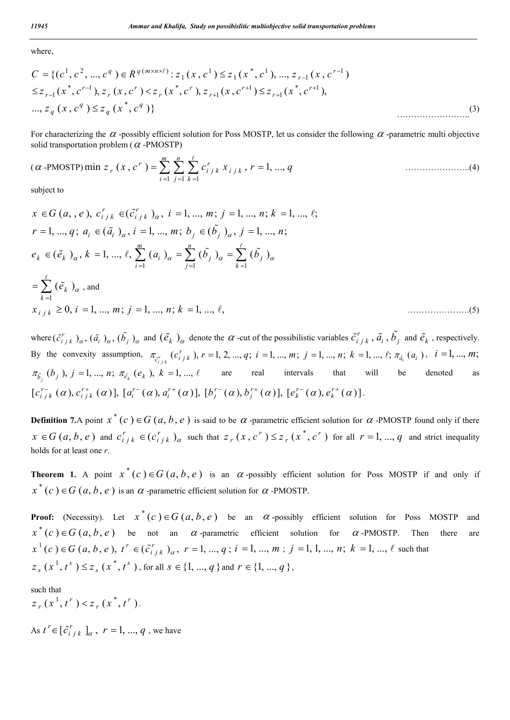where,

$$
C = \{ (c^1, c^2, ..., c^q) \in R^{q(m \times n \times \ell)} : z_1(x, c^1) \leq z_1(x^*, c^1), ..., z_{r-1}(x, c^{r-1})
$$
  
\n
$$
\leq z_{r-1}(x^*, c^{r-1}), z_r(x, c^r) < z_r(x^*, c^r), z_{r+1}(x, c^{r+1}) \leq z_{r+1}(x^*, c^{r+1}),
$$
  
\n
$$
..., z_q(x, c^q) \leq z_q(x^*, c^q) \}
$$
\n
$$
(3)
$$

For characterizing the  $\alpha$ -possibly efficient solution for Poss MOSTP, let us consider the following  $\alpha$ -parametric multi objective solid transportation problem ( $\alpha$ -PMOSTP)

$$
(\alpha \text{-PMOSTP}) \min z_r(x, c^r) = \sum_{i=1}^m \sum_{j=1}^n \sum_{k=1}^{\ell} c_{ijk}^r x_{ijk}, r = 1, ..., q
$$
 (4)

subject to

$$
x \in G(a, e), c_{i j k}^{r} \in (\tilde{c}_{i j k}^{r})_{\alpha}, i = 1, ..., m; j = 1, ..., n; k = 1, ..., \ell;
$$
  
\n
$$
r = 1, ..., q; a_{i} \in (\tilde{a}_{i})_{\alpha}, i = 1, ..., m; b_{j} \in (\tilde{b}_{j})_{\alpha}, j = 1, ..., n;
$$
  
\n
$$
e_{k} \in (\tilde{e}_{k})_{\alpha}, k = 1, ..., \ell, \sum_{i=1}^{m} (a_{i})_{\alpha} = \sum_{j=1}^{n} (\tilde{b}_{j})_{\alpha} = \sum_{k=1}^{\ell} (\tilde{b}_{j})_{\alpha}
$$
  
\n
$$
= \sum_{k=1}^{\ell} (\tilde{e}_{k})_{\alpha}, \text{ and}
$$
  
\n
$$
x_{i j k} \ge 0, i = 1, ..., m; j = 1, ..., n; k = 1, ..., \ell,
$$
  
\n(5)

where  $(\tilde{c}_{i j k}^r)_{\alpha}$ ,  $(\tilde{a}_{i j_{\alpha}}^r, (\tilde{b}_{j j_{\alpha}}^r)_{\alpha}$  and  $(\tilde{e}_{k j_{\alpha}}^r)_{\alpha}$  denote the  $\alpha$ -cut of the possibilistic variables  $\tilde{c}_{i j k}^r$ ,  $\tilde{a}_{i j}$ ,  $\tilde{b}_{j}$  and  $\tilde{e}_{k}$ , respectively. By the convexity assumption,  $\pi_{\tilde{c}_{i j k}}(c_{i j k}^r)$ ,  $r = 1, 2, ..., q$ ;  $i = 1, ..., m$ ;  $j = 1, ..., n$ ;  $k = 1, ..., \ell$ ;  $\pi_{\tilde{a}_i}(a_i)$ ,  $i = 1, ..., m$ ;  $\pi_{\tilde{b}_j}(b_j)$ ,  $j = 1, ..., n$ ;  $\pi_{\tilde{e}_k}(e_k)$ ,  $k = 1, ..., \ell$  are real intervals that will be denoted as  $[c^{r-}_{i\,j\,k}\,(\alpha),c^{r+}_{i\,j\,k}\,(\alpha)],\,[a^{r-}_i(\alpha),a^{r+}_i(\alpha)],\,[b^{r-}_j(\alpha),b^{r+}_j(\alpha)],\,[e^{r-}_k(\alpha),e^{r+}_k(\alpha)]\,.$ 

**Definition 7.**A point  $x^*(c) \in G(a, b, e)$  is said to be  $\alpha$  -parametric efficient solution for  $\alpha$  -PMOSTP found only if there  $x \in G(a, b, e)$  and  $c_{ijk}^r \in (c_{ijk}^r)_\alpha$  such that  $z_r(x, c^r) \leq z_r(x^*, c^r)$  for all  $r = 1, ..., q$  and strict inequality holds for at least one *r*.

**Theorem 1.** A point  $x^*(c) \in G(a, b, e)$  is an  $\alpha$ -possibly efficient solution for Poss MOSTP if and only if  $x^*(c) \in G$  (*a*, *b*, *e*) is an  $\alpha$ -parametric efficient solution for  $\alpha$ -PMOSTP.

**Proof:** (Necessity). Let  $x^*(c) \in G(a, b, e)$  be an  $\alpha$ -possibly efficient solution for Poss MOSTP and  $x^*(c) \in G(a, b, e)$  be not an  $\alpha$ -parametric efficient solution for  $\alpha$ -PMOSTP. Then there are  $x^1(c) \in G$   $(a, b, e)$ ,  $t^r \in (\tilde{c}_{i j k}^r)_{\alpha}$ ,  $r = 1, ..., q$ ;  $i = 1, ..., m$ ;  $j = 1, 1, ..., n$ ;  $k = 1, ..., \ell$  such that  $z_{s}$   $(x^{1}, t^{s}) \leq z_{s}$   $(x^{*}, t^{s})$ , for all  $s \in \{1, ..., q\}$  and  $r \in \{1, ..., q\}$ ,

such that

 $z_r(x^1, t^r) < z_r(x^*, t^r).$ 

As  $t^r \in [\tilde{c}_{i j k}^r]_a$ ,  $r = 1, ..., q$ , we have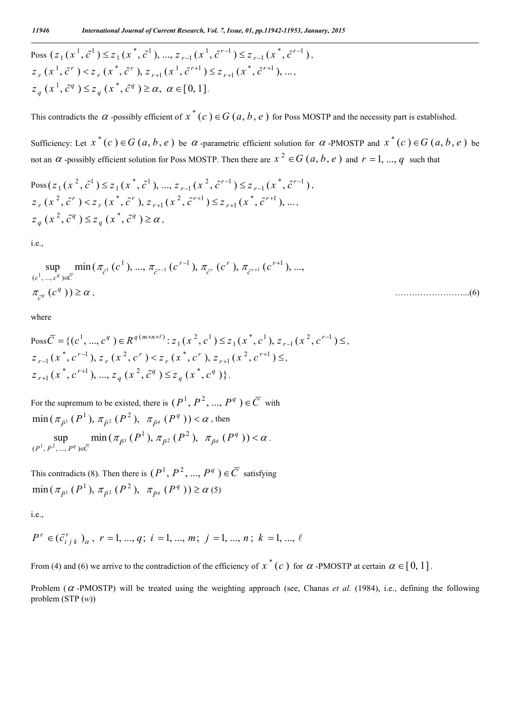$$
\begin{aligned} &\text{Poss } (z_1(x^1, \tilde{c}^1) \le z_1(x^*, \tilde{c}^1), \dots, z_{r-1}(x^1, \tilde{c}^{r-1}) \le z_{r-1}(x^*, \tilde{c}^{r-1}), \\ &z_r(x^1, \tilde{c}^r) < z_r(x^*, \tilde{c}^r), z_{r+1}(x^1, \tilde{c}^{r+1}) \le z_{r+1}(x^*, \tilde{c}^{r+1}), \dots, \\ &z_q(x^1, \tilde{c}^q) \le z_q(x^*, \tilde{c}^q) \ge \alpha, \ \alpha \in [0, 1]. \end{aligned}
$$

This contradicts the  $\alpha$ -possibly efficient of  $x^*(c) \in G(a, b, e)$  for Poss MOSTP and the necessity part is established.

Sufficiency: Let  $x^*(c) \in G(a, b, e)$  be  $\alpha$ -parametric efficient solution for  $\alpha$ -PMOSTP and  $x^*(c) \in G(a, b, e)$  be not an  $\alpha$  -possibly efficient solution for Poss MOSTP. Then there are  $x^2 \in G$  (a, b, e) and  $r = 1, ..., q$  such that

$$
Poss(z_1(x^2, \tilde{c}^1) \le z_1(x^*, \tilde{c}^1), ..., z_{r-1}(x^2, \tilde{c}^{r-1}) \le z_{r-1}(x^*, \tilde{c}^{r-1}),
$$
  
\n
$$
z_r(x^2, \tilde{c}^r) < z_r(x^*, \tilde{c}^r), z_{r+1}(x^2, \tilde{c}^{r+1}) \le z_{r+1}(x^*, \tilde{c}^{r+1}), ...,
$$
  
\n
$$
z_q(x^2, \tilde{c}^q) \le z_q(x^*, \tilde{c}^q) \ge \alpha,
$$

i.e.,

$$
\sup_{(c^1, ..., c^q) \in \overline{C}} \min(\pi_{\tilde{c}^1}(c^1), ..., \pi_{\tilde{c}^{r-1}}(c^{r-1}), \pi_{\tilde{c}^r}(c^r), \pi_{\tilde{c}^{r+1}}(c^{r+1}), ...,
$$
\n
$$
\pi_{\tilde{c}^q}(c^q)) \ge \alpha,
$$
\n(6)

where

$$
\begin{aligned} &\text{Poss}\,\overline{C} = \{ (c^1, \dots, c^q) \in \mathbb{R}^{q(m \times n \times \ell)} : z_1(x^2, c^1) \le z_1(x^*, c^1), z_{r-1}(x^2, c^{r-1}) \le, \\ &z_{r-1}(x^*, c^{r-1}), z_r(x^2, c^r) < z_r(x^*, c^r), z_{r+1}(x^2, c^{r+1}) \le, \\ &z_{r+1}(x^*, c^{r+1}), \dots, z_q(x^2, \tilde{c}^q) \le z_q(x^*, c^q) \}. \end{aligned}
$$

For the supremum to be existed, there is  $(P^1, P^2, ..., P^q) \in \overline{C}$  with  $\min\left( \pi_{\tilde{P}^1}\left( P^1 \right), \pi_{\tilde{P}^2}\left( P^2 \right), \ \pi_{\tilde{P}^q}\left( P^q \right. \right))$  <  $\alpha$  , then  $\lim_{n \to \infty} \left( \frac{\mu_{\tilde{p}_1}(1)}{p_1} \right)$ ,  $\lim_{n \to \infty} \left( \frac{\mu_{\tilde{p}_2}(1)}{p_1} \right)$  $\frac{1}{2}$   $\pi$   $(D^2)$  $(P^1, P^2, ..., P^q)$  $\sup_{{P_1}\atop{P_1\geq 0}}$  min  $(\pi_{\tilde{P}^1}(P^1), \pi_{\tilde{P}^2}(P^2), \pi_{\tilde{P}^q}(P^q))$ *q*  $P^1, P^2, ..., P^q \in \mathbb{C}$   $\overline{C}$   $\overline{P^1, P^2, ..., P^q}$  $\pi_{\tilde{p}1}(P^1), \pi_{\tilde{p}2}(P^2), \pi_{\tilde{p}q}(P^q)) < \alpha$  $\in$  $_{51}$   $(P^{1}), \pi_{\tilde{p}^{2}}$   $(P^{2}), \pi_{\tilde{p}^{q}}(P^{q})) < \alpha$ .

This contradicts (8). Then there is  $(P^1, P^2, ..., P^q) \in \overline{C}$  satisfying  $\min(\pi_{\tilde{P}^1}(P^1), \pi_{\tilde{P}^2}(P^2), \pi_{\tilde{P}^q}(P^q)) \ge \alpha(5)$ 

i.e.,

$$
P^r \in (\tilde{c}_{i j k}^r)_{\alpha}, r = 1, ..., q; i = 1, ..., m; j = 1, ..., n; k = 1, ..., \ell
$$

From (4) and (6) we arrive to the contradiction of the efficiency of  $x^*(c)$  for  $\alpha$ -PMOSTP at certain  $\alpha \in [0, 1]$ .

Problem ( $\alpha$ -PMOSTP) will be treated using the weighting approach (see, Chanas *et al.* (1984), i.e., defining the following problem (STP (*w*))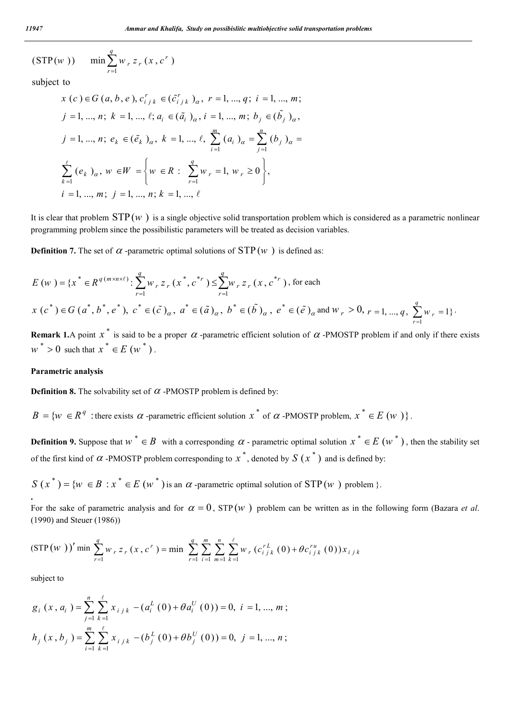$$
(STP(w))
$$
 min  $\sum_{r=1}^{q} w_r z_r (x, c^r)$ 

subject to

$$
x (c) \in G (a, b, e), c_{i j k}^r \in (\tilde{c}_{i j k}^r)_{\alpha}, r = 1, ..., q; i = 1, ..., m;
$$
  
\n
$$
j = 1, ..., n; k = 1, ..., \ell; a_i \in (\tilde{a}_i)_{\alpha}, i = 1, ..., m; b_j \in (\tilde{b}_j)_{\alpha},
$$
  
\n
$$
j = 1, ..., n; e_k \in (\tilde{e}_k)_{\alpha}, k = 1, ..., \ell, \sum_{i=1}^m (a_i)_{\alpha} = \sum_{j=1}^n (b_j)_{\alpha} = \sum_{k=1}^{\ell} (e_k)_{\alpha}, w \in W = \left\{ w \in R : \sum_{r=1}^q w_r = 1, w_r \ge 0 \right\},
$$
  
\n
$$
i = 1, ..., m; j = 1, ..., n; k = 1, ..., \ell
$$

It is clear that problem  $STP(w)$  is a single objective solid transportation problem which is considered as a parametric nonlinear programming problem since the possibilistic parameters will be treated as decision variables.

**Definition 7.** The set of  $\alpha$ -parametric optimal solutions of  $STP(w)$  is defined as:

$$
E(w) = \{x^* \in R^{q(m \times n \times \ell)} : \sum_{r=1}^q w_r z_r (x^*, c^{*r}) \le \sum_{r=1}^q w_r z_r (x, c^{*r}), \text{ for each}
$$
  

$$
x(c^*) \in G(a^*, b^*, e^*), c^* \in (\tilde{c})_\alpha, a^* \in (\tilde{a})_\alpha, b^* \in (\tilde{b})_\alpha, e^* \in (\tilde{e})_\alpha \text{ and } w_r > 0, r = 1, ..., q, \sum_{r=1}^q w_r = 1\}.
$$

**Remark 1.**A point  $x^*$  is said to be a proper  $\alpha$ -parametric efficient solution of  $\alpha$ -PMOSTP problem if and only if there exists  $w^* > 0$  such that  $x^* \in E(w^*)$ .

#### **Parametric analysis**

**Definition 8.** The solvability set of  $\alpha$  -PMOSTP problem is defined by:

 ${B} = \{w \in R^q$ : there exists  $\alpha$ -parametric efficient solution  $x^*$  of  $\alpha$ -PMOSTP problem,  $x^* \in E(w) \}$ .

**Definition 9.** Suppose that  $w^* \in B$  with a corresponding  $\alpha$  - parametric optimal solution  $x^* \in E(w^*)$ , then the stability set of the first kind of  $\alpha$  -PMOSTP problem corresponding to  $x^*$ , denoted by  $S(x^*)$  and is defined by:

 $S(x^*) = \{w \in B : x^* \in E(w^*) \text{ is an } \alpha \text{-parametric optimal solution of STP}(w) \text{ problem } \}.$ **.**

For the sake of parametric analysis and for  $\alpha = 0$ , STP (*w*) problem can be written as in the following form (Bazara *et al.*) (1990) and Steuer (1986))

$$
(\text{STP}(w))' \min \sum_{r=1}^{q} w_r z_r (x, c^r) = \min \sum_{r=1}^{q} \sum_{i=1}^{m} \sum_{m=1}^{n} \sum_{k=1}^{\ell} w_r (c_{i j k}^{r L} (0) + \theta c_{i j k}^{r u} (0)) x_{i j k}
$$

subject to

$$
g_i(x, a_i) = \sum_{j=1}^n \sum_{k=1}^\ell x_{i j k} - (a_i^L(0) + \theta a_i^U(0)) = 0, \ i = 1, ..., m;
$$
  

$$
h_j(x, b_j) = \sum_{i=1}^m \sum_{k=1}^\ell x_{i j k} - (b_j^L(0) + \theta b_j^U(0)) = 0, \ j = 1, ..., n;
$$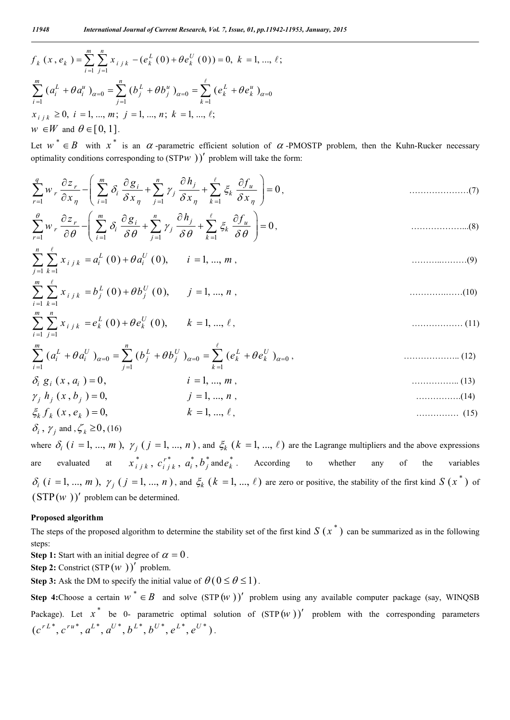$$
f_k(x, e_k) = \sum_{i=1}^m \sum_{j=1}^n x_{i j k} - (e_k^L(0) + \theta e_k^U(0)) = 0, k = 1, ..., \ell;
$$
  

$$
\sum_{i=1}^m (a_i^L + \theta a_i^u)_{\alpha=0} = \sum_{j=1}^n (b_j^L + \theta b_j^u)_{\alpha=0} = \sum_{k=1}^\ell (e_k^L + \theta e_k^u)_{\alpha=0}
$$
  

$$
x_{i j k} \ge 0, i = 1, ..., m; j = 1, ..., n; k = 1, ..., \ell;
$$
  

$$
w \in W \text{ and } \theta \in [0, 1].
$$

Let  $w^* \in B$  with  $x^*$  is an  $\alpha$ -parametric efficient solution of  $\alpha$ -PMOSTP problem, then the Kuhn-Rucker necessary optimality conditions corresponding to  $(STPW)$ <sup>'</sup> problem will take the form:

1 1 1 1 0 *<sup>q</sup> <sup>m</sup> <sup>n</sup> <sup>r</sup> <sup>i</sup> <sup>j</sup> <sup>u</sup> r i j k r i j k z g h f w x x x x* , …………………(7)

1 1 1 1 0 *<sup>m</sup> <sup>n</sup> <sup>r</sup> <sup>i</sup> <sup>j</sup> <sup>u</sup> r i j k r i j k z g h f w* , ………………...(8)

$$
\sum_{j=1}^{n} \sum_{k=1}^{\ell} x_{i j k} = a_i^{L}(0) + \theta a_i^{U}(0), \qquad i = 1, ..., m,
$$
\n
$$
\qquad \qquad (9)
$$

$$
\sum_{i=1}^{m} \sum_{k=1}^{\ell} x_{i j k} = b_j^{L}(0) + \theta b_j^{U}(0), \qquad j = 1, ..., n,
$$
\n(10)

$$
\sum_{i=1}^{m} \sum_{j=1}^{n} x_{i j k} = e_k^{L}(0) + \theta e_k^{U}(0), \qquad k = 1, ..., \ell, \qquad \qquad \dots \dots \dots \dots \dots \dots \dots \tag{11}
$$

0 0 0 1 1 1 ( ) ( ) ( ) *<sup>m</sup> <sup>n</sup> <sup>L</sup> <sup>U</sup> <sup>L</sup> <sup>U</sup> <sup>L</sup> <sup>U</sup> i i j j k k i j k a a b b e e* , ……………….. (12)

$$
\delta_i \ g_i \ (x, a_i \ ) = 0, \qquad i = 1, ..., m \tag{13}
$$

$$
\gamma_j h_j(x, b_j) = 0, \qquad j = 1, ..., n, \qquad (14)
$$

$$
\xi_k f_k (x, e_k) = 0,
$$
  $k = 1, ..., \ell,$  (15)  
\n $\delta_i, \gamma_j \text{ and } \zeta_k \ge 0, \text{(16)}$ 

where  $\delta_i$  ( $i = 1, ..., m$ ),  $\gamma_i$  ( $j = 1, ..., n$ ), and  $\xi_k$  ( $k = 1, ..., \ell$ ) are the Lagrange multipliers and the above expressions are evaluated at  $x_{ijk}^*$ ,  $c_{ijk}^*$ ,  $a_i^*$ ,  $b_j^*$  and  $e_k^*$ . According to whether any of the variables  $\delta_i$  (*i* = 1, ..., *m*),  $\gamma_j$  (*j* = 1, ..., *n*), and  $\xi_k$  (*k* = 1, ...,  $\ell$ ) are zero or positive, the stability of the first kind S (*x*<sup>\*</sup>) of  $(STP(w))'$  problem can be determined.

#### **Proposed algorithm**

The steps of the proposed algorithm to determine the stability set of the first kind  $S(x^*)$  can be summarized as in the following steps:

**Step 1:** Start with an initial degree of  $\alpha = 0$ .

**Step 2:** Constrict  $(STP(W))'$  problem.

**Step 3:** Ask the DM to specify the initial value of  $\theta$  ( $0 \le \theta \le 1$ ).

**Step 4:**Choose a certain  $w^* \in B$  and solve  $(\text{STP}(w))'$  problem using any available computer package (say, WINQSB) Package). Let  $x^*$  be 0- parametric optimal solution of  $(STP(W))'$  problem with the corresponding parameters  $(c^{rL^*}, c^{ru^*}, a^{L^*}, a^{U^*}, b^{L^*}, b^{U^*}, e^{L^*}, e^{U^*})$ .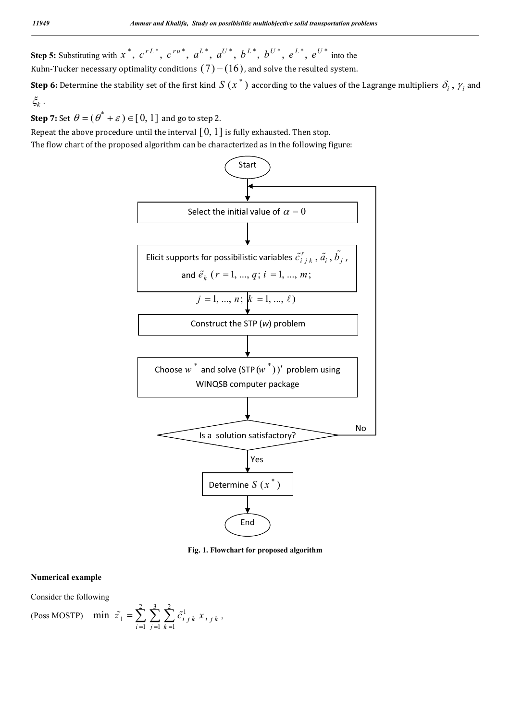**Step 5:** Substituting with  $x^*$ ,  $c^{rL^*}$ ,  $c^{ru^*}$ ,  $a^{L^*}$ ,  $a^{U^*}$ ,  $b^{L^*}$ ,  $b^{U^*}$ ,  $e^{L^*}$ ,  $e^{U^*}$  into the Kuhn-Tucker necessary optimality conditions  $(7)$  –  $(16)$ , and solve the resulted system.

**Step 6:** Determine the stability set of the first kind  $S(x^*)$  according to the values of the Lagrange multipliers  $\delta_i$ ,  $\gamma_i$  and  $\xi_k$  .

**Step 7:** Set  $\theta = (\theta^* + \varepsilon) \in [0, 1]$  and go to step 2.

Repeat the above procedure until the interval  $[0, 1]$  is fully exhausted. Then stop.

The flow chart of the proposed algorithm can be characterized as in the following figure:



**Fig. 1. Flowchart for proposed algorithm**

#### **Numerical example**

Consider the following

(Poss MOSTP)  $\frac{2}{\sqrt{2}} \sum_{i=1}^{3} \frac{2}{\sqrt{2}}$ 1  $-1$   $j = 1$   $k = 1$  $\min \ \ \tilde{z}_1 = \sum \sum \sum \ \tilde{c}_{i}^1_{j,k} x_{i}^1_{j,k}$  $i = 1$   $j = 1$   $k$  $\tilde{z}_1 = \sum_i \sum_i \tilde{c}_{i}^1_{i,k} x_i$  $\tilde{z}_1 = \sum_{i=1} \sum_{j=1} \sum_{k=1} \tilde{c}_{i j k}^1 x_{i j k}$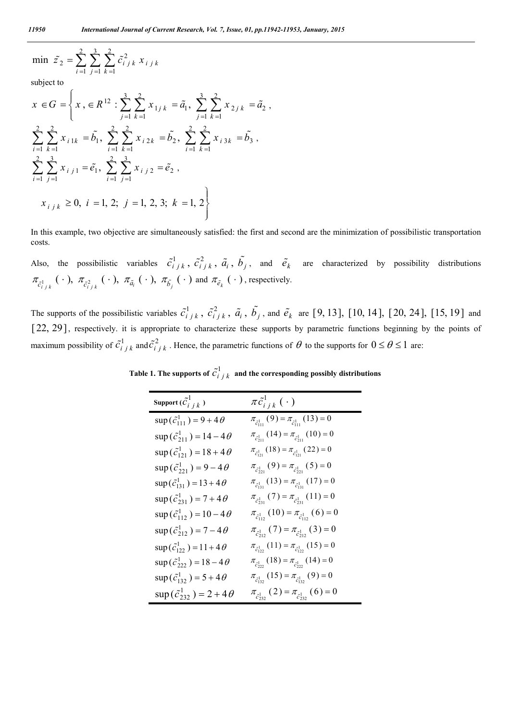$$
\min \ \ \tilde{z}_2 = \sum_{i=1}^{2} \sum_{j=1}^{3} \sum_{k=1}^{2} \tilde{c}_{i}^2_{j,k} \ x_{i,j,k}
$$

subject to

$$
x \in G = \left\{ x, \in R^{12} : \sum_{j=1}^{3} \sum_{k=1}^{2} x_{1j k} = \tilde{a}_{1}, \sum_{j=1}^{3} \sum_{k=1}^{2} x_{2j k} = \tilde{a}_{2}, \right\}
$$
  

$$
\sum_{i=1}^{2} \sum_{k=1}^{2} x_{i1k} = \tilde{b}_{1}, \sum_{i=1}^{2} \sum_{k=1}^{2} x_{i2k} = \tilde{b}_{2}, \sum_{i=1}^{2} \sum_{k=1}^{2} x_{i3k} = \tilde{b}_{3}, \right\}
$$
  

$$
\sum_{i=1}^{2} \sum_{j=1}^{3} x_{i j1} = \tilde{e}_{1}, \sum_{i=1}^{2} \sum_{j=1}^{3} x_{i j2} = \tilde{e}_{2}, \left\{ x_{i j k} \ge 0, i = 1, 2; j = 1, 2, 3; k = 1, 2 \right\}
$$

In this example, two objective are simultaneously satisfied: the first and second are the minimization of possibilistic transportation costs.

Also, the possibilistic variables  $\tilde{c}_{i j k}^1$ ,  $\tilde{c}_{i j k}^2$ ,  $\tilde{a}_i$ ,  $\tilde{b}_j$ , and  $\tilde{e}_k$  are characterized by possibility distributions  $\pi_{\tilde{c}_{i+k}^1}(\cdot)$ ,  $\pi_{\tilde{c}_{i+k}^2}(\cdot)$ ,  $\pi_{\tilde{a}_i}(\cdot)$ ,  $\pi_{\tilde{b}_j}(\cdot)$  and  $\pi_{\tilde{e}_k}(\cdot)$ , respectively.

The supports of the possibilistic variables  $\tilde{c}_{i j k}^1$ ,  $\tilde{c}_{i j k}^2$ ,  $\tilde{a}_i$ ,  $\tilde{b}_j$ , and  $\tilde{e}_k$  are [9, 13], [10, 14], [20, 24], [15, 19] and [22, 29], respectively. it is appropriate to characterize these supports by parametric functions beginning by the points of maximum possibility of  $\tilde{c}_{i j k}^1$  and  $\tilde{c}_{i j k}^2$ . Hence, the parametric functions of  $\theta$  to the supports for  $0 \le \theta \le 1$  are:

| Support $(\tilde{C}_{i\, j\, k}^1)$      | $\pi \tilde{c}_{i\,i\,k}^{1}(\,\cdot\,)$                            |
|------------------------------------------|---------------------------------------------------------------------|
| $\sup(\tilde{c}_{111}^1) = 9 + 4\theta$  | $\pi_{\tilde{c}_{111}}(9) = \pi_{\tilde{c}_{111}}(13) = 0$          |
| $\sup(\tilde{c}_{211}^1) = 14-4\theta$   | $\pi_{\tilde{c}_{211}^1}(14) = \pi_{\tilde{c}_{211}^1}(10) = 0$     |
| $\sup(\tilde{c}_{121}^1) = 18 + 4\theta$ | $\pi_{\tilde{c}_{121}^1}(18) = \pi_{\tilde{c}_{121}^1}(22) = 0$     |
| $\sup(\tilde{c}_{221}^1) = 9-4\theta$    | $\pi_{\tilde{c}_{221}^{1}}(9) = \pi_{\tilde{c}_{221}^{1}}(5) = 0$   |
| $\sup(\tilde{c}_{131}^1) = 13 + 4\theta$ | $\pi_{\tilde{c}_{131}^1}(13) = \pi_{\tilde{c}_{131}^1}(17) = 0$     |
| $\sup(\tilde{c}_{231}^1) = 7 + 4\theta$  | $\pi_{\tilde{c}_{231}}(7) = \pi_{\tilde{c}_{231}}(11) = 0$          |
| $\sup(\tilde{c}_{112}^1) = 10-4\theta$   | $\pi_{\tilde{c}_{112}^1}(10) = \pi_{\tilde{c}_{112}^1}(6) = 0$      |
| $\sup(\tilde{c}_{212}^1) = 7-4\theta$    | $\pi_{\tilde{c}_{312}^1}(7) = \pi_{\tilde{c}_{312}^1}(3) = 0$       |
| $\sup(\tilde{c}_{122}^1) = 11 + 4\theta$ | $\pi_{\tilde{c}_{122}^{1}}(11) = \pi_{\tilde{c}_{122}^{1}}(15) = 0$ |
| $\sup(\tilde{c}_{222}^1) = 18-4\theta$   | $\pi_{\tilde{c}_{222}^1}(18) = \pi_{\tilde{c}_{222}^1}(14) = 0$     |
| $\sup(\tilde{c}_{132}^1) = 5 + 4\theta$  | $\pi_{\tilde{c}_{132}^{1}}(15) = \pi_{\tilde{c}_{132}^{1}}(9) = 0$  |
| $\sup(\tilde{c}_{232}^1) = 2 + 4\theta$  | $\pi_{\tilde{c}_{232}^1}(2) = \pi_{\tilde{c}_{232}^1}(6) = 0$       |

Table 1. The supports of  $\tilde{c}^1_{i\,j\,k\,}$  and the corresponding possibly distributions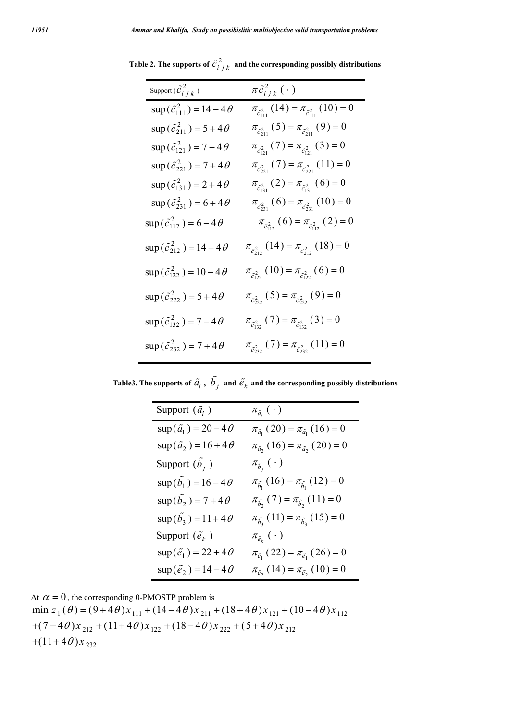| Support $(\tilde{c}_{i,j,k}^2)$          | $\pi \tilde{c}_{i j k}^{2}(\cdot)$                              |
|------------------------------------------|-----------------------------------------------------------------|
| $\sup(\tilde{c}_{111}^2) = 14-4\theta$   | $\pi_{\tilde{c}_{111}^2}(14) = \pi_{\tilde{c}_{111}^2}(10) = 0$ |
| $\sup(\tilde{c}_{211}^2) = 5 + 4\theta$  | $\pi_{\tilde{c}_{211}^2}(5) = \pi_{\tilde{c}_{211}^2}(9) = 0$   |
| $\sup(\tilde{c}_{121}^2) = 7-4\theta$    | $\pi_{\tilde{c}_{121}^2}(7) = \pi_{\tilde{c}_{121}^2}(3) = 0$   |
| $\sup(\tilde{c}_{221}^2) = 7 + 4\theta$  | $\pi_{\tilde{c}_{221}}(7) = \pi_{\tilde{c}_{221}}(11) = 0$      |
| $\sup(\tilde{c}_{131}^2) = 2 + 4\theta$  | $\pi_{\tilde{c}_{131}^2}(2) = \pi_{\tilde{c}_{131}^2}(6) = 0$   |
| $\sup(\tilde{c}_{231}^2) = 6 + 4\theta$  | $\pi_{\tilde{c}_{231}^2}(6) = \pi_{\tilde{c}_{231}^2}(10) = 0$  |
| $\sup(\tilde{c}_{112}^2) = 6 - 4\theta$  | $\pi_{\tilde{c}_{112}^2}(6) = \pi_{\tilde{c}_{112}^2}(2) = 0$   |
| $\sup(\tilde{c}_{212}^2) = 14 + 4\theta$ | $\pi_{\tilde{c}_{212}^2}(14) = \pi_{\tilde{c}_{212}^2}(18) = 0$ |
| $\sup(\tilde{c}_{122}^2) = 10-4\theta$   | $\pi_{\tilde{c}_{122}^2}(10) = \pi_{\tilde{c}_{122}^2}(6) = 0$  |
| $\sup(\tilde{c}_{222}^2) = 5 + 4\theta$  | $\pi_{\tilde{c}_{222}^2}(5) = \pi_{\tilde{c}_{222}^2}(9) = 0$   |
| $\sup(\tilde{c}_{132}^2) = 7-4\theta$    | $\pi_{\tilde{c}_{132}^2}(7) = \pi_{\tilde{c}_{132}^2}(3) = 0$   |
| $\sup(\tilde{c}_{232}^2) = 7 + 4\theta$  | $\pi_{\tilde{c}_{232}^2}(7) = \pi_{\tilde{c}_{232}^2}(11) = 0$  |

Table 2. The supports of  $\tilde{c}^2_{i \, j \, k}$  and the corresponding possibly distributions

Table3. The supports of  $\tilde{a_i}$  ,  $\tilde{b_j}$  and  $\tilde{e_k}$  and the corresponding possibly distributions

| Support $(\tilde{a}_{i})$          | $\pi_{\tilde{a}_i} \left( \ \cdot \ \right)$            |
|------------------------------------|---------------------------------------------------------|
| $\sup(\tilde{a}_1) = 20 - 4\theta$ | $\pi_{\tilde{a}_1}(20) = \pi_{\tilde{a}_1}(16) = 0$     |
| $\sup(\tilde{a}_2) = 16 + 4\theta$ | $\pi_{\tilde{a}_{2}}(16) = \pi_{\tilde{a}_{2}}(20) = 0$ |
| Support $(\tilde{b}_j)$            | $\pi_{\tilde{b}_i}(\,\cdot\,)$                          |
| $\sup(\tilde{b}_1)=16-4\theta$     | $\pi_{\tilde{b}_1}(16) = \pi_{\tilde{b}_1}(12) = 0$     |
| $\sup(b_2) = 7 + 4\theta$          | $\pi_{\tilde{b}_{2}}(7) = \pi_{\tilde{b}_{2}}(11) = 0$  |
| $\sup(\vec{b}_3) = 11 + 4\theta$   | $\pi_{\tilde{b}_3}(11) = \pi_{\tilde{b}_3}(15) = 0$     |
| Support $(\tilde{e}_k)$            | $\pi_{\tilde{e}_k} \left( \, \cdot \, \right)$          |
| $\sup(\tilde{e}_1) = 22 + 4\theta$ | $\pi_{\tilde{e}_1}(22) = \pi_{\tilde{e}_1}(26) = 0$     |
| $\sup(\tilde{e}_2) = 14-4\theta$   | $\pi_{\tilde{e}_2}(14) = \pi_{\tilde{e}_2}(10) = 0$     |

At 
$$
\alpha = 0
$$
, the corresponding 0-PMOSTP problem is

 $\min z_1(\theta) = (9 + 4\theta)x_{111} + (14 - 4\theta)x_{211} + (18 + 4\theta)x_{121} + (10 - 4\theta)x_{112}$  $+(7-4\theta)x_{212} + (11+4\theta)x_{122} + (18-4\theta)x_{222} + (5+4\theta)x_{212}$  $+(11+4\theta)x_{232}$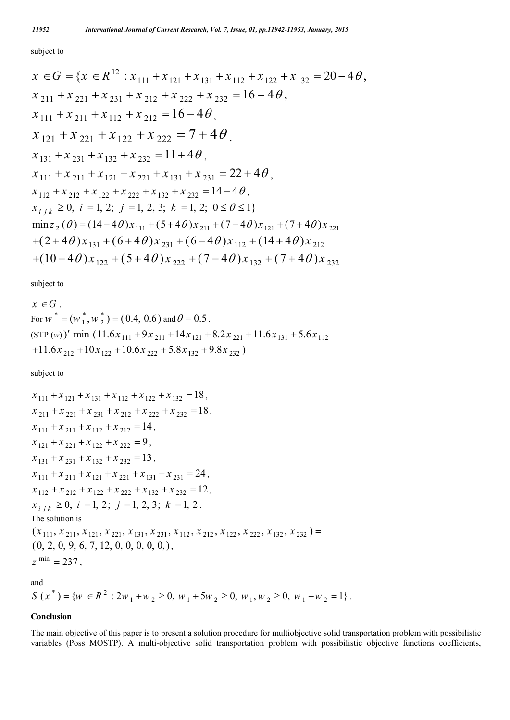subject to

$$
x \in G = \{x \in R^{12} : x_{111} + x_{121} + x_{131} + x_{112} + x_{122} + x_{132} = 20 - 4\theta,
$$
  
\n
$$
x_{211} + x_{221} + x_{231} + x_{212} + x_{222} + x_{232} = 16 + 4\theta,
$$
  
\n
$$
x_{111} + x_{211} + x_{112} + x_{212} = 16 - 4\theta,
$$
  
\n
$$
x_{121} + x_{221} + x_{122} + x_{222} = 7 + 4\theta,
$$
  
\n
$$
x_{131} + x_{231} + x_{132} + x_{232} = 11 + 4\theta,
$$
  
\n
$$
x_{111} + x_{211} + x_{121} + x_{221} + x_{131} + x_{231} = 22 + 4\theta,
$$
  
\n
$$
x_{112} + x_{212} + x_{122} + x_{222} + x_{132} + x_{232} = 14 - 4\theta,
$$
  
\n
$$
x_{i j k} \ge 0, i = 1, 2; j = 1, 2, 3; k = 1, 2; 0 \le \theta \le 1
$$
  
\n
$$
\min_{2} \{(\theta) = (14 - 4\theta)x_{111} + (5 + 4\theta)x_{211} + (7 - 4\theta)x_{121} + (7 + 4\theta)x_{221} + (2 + 4\theta)x_{131} + (6 + 4\theta)x_{231} + (6 - 4\theta)x_{112} + (14 + 4\theta)x_{212} + (10 - 4\theta)x_{122} + (5 + 4\theta)x_{222} + (7 - 4\theta)x_{132} + (7 + 4\theta)x_{232} + (7 + 4\theta)x_{232}
$$

subject to

$$
x \in G
$$
  
For  $w^* = (w_1^*, w_2^*) = (0.4, 0.6)$  and  $\theta = 0.5$ .  
(STP (w))' min (11.6x<sub>111</sub> + 9x<sub>211</sub> + 14x<sub>121</sub> + 8.2x<sub>221</sub> + 11.6x<sub>131</sub> + 5.6x<sub>112</sub>  
+11.6x<sub>212</sub> + 10x<sub>122</sub> + 10.6x<sub>222</sub> + 5.8x<sub>132</sub> + 9.8x<sub>232</sub>)

subject to

$$
x_{111} + x_{121} + x_{131} + x_{112} + x_{122} + x_{132} = 18,
$$
  
\n
$$
x_{211} + x_{221} + x_{231} + x_{212} + x_{222} + x_{232} = 18,
$$
  
\n
$$
x_{111} + x_{211} + x_{112} + x_{212} = 14,
$$
  
\n
$$
x_{121} + x_{221} + x_{122} + x_{222} = 9,
$$
  
\n
$$
x_{131} + x_{231} + x_{132} + x_{232} = 13,
$$
  
\n
$$
x_{111} + x_{211} + x_{121} + x_{221} + x_{131} + x_{231} = 24,
$$
  
\n
$$
x_{112} + x_{212} + x_{122} + x_{222} + x_{132} + x_{232} = 12,
$$
  
\n
$$
x_{i j k} \ge 0, i = 1, 2; j = 1, 2, 3; k = 1, 2.
$$
  
\nThe solution is  
\n
$$
(x_{111}, x_{211}, x_{121}, x_{221}, x_{131}, x_{231}, x_{112}, x_{212}, x_{122}, x_{222}, x_{132}, x_{232}) =
$$
  
\n
$$
(0, 2, 0, 9, 6, 7, 12, 0, 0, 0, 0, 0),
$$
  
\n
$$
z^{\min} = 237,
$$

and

$$
S(x^*) = \{ w \in R^2 : 2w_1 + w_2 \ge 0, w_1 + 5w_2 \ge 0, w_1, w_2 \ge 0, w_1 + w_2 = 1 \}.
$$

### **Conclusion**

The main objective of this paper is to present a solution procedure for multiobjective solid transportation problem with possibilistic variables (Poss MOSTP). A multi-objective solid transportation problem with possibilistic objective functions coefficients,